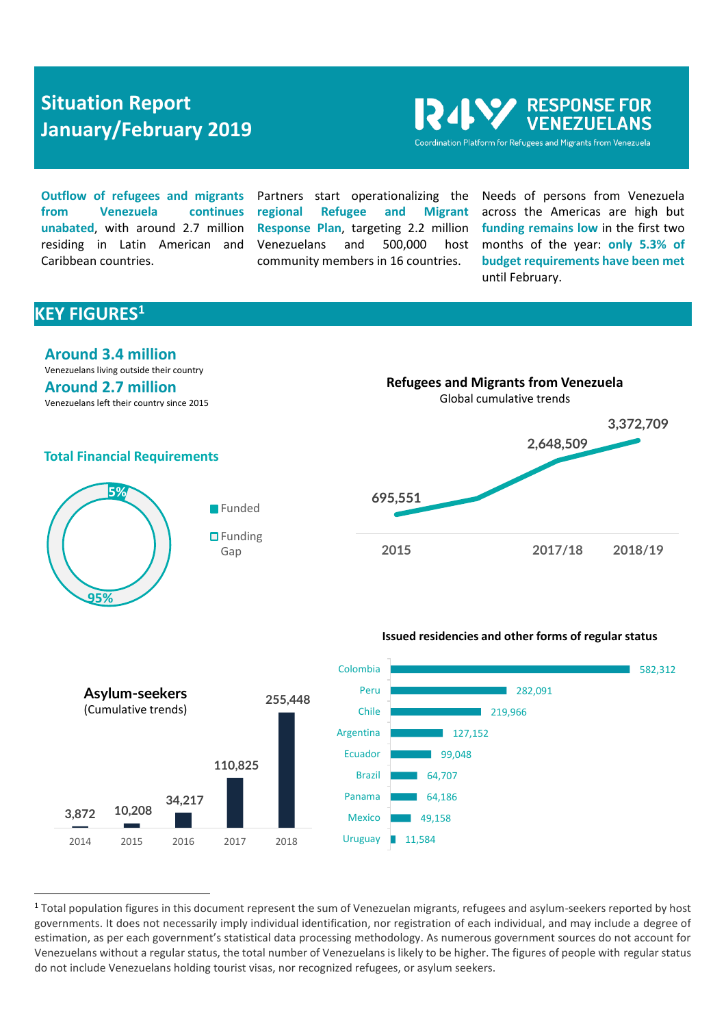# **Situation Report January/February 2019**

**PARESPONSE FOR NEZUELANS** Coordination Platform for Refugees and Migrants from Venezuela

**Outflow of refugees and migrants from Venezuela continues unabated**, with around 2.7 million residing in Latin American and Caribbean countries.

Partners start operationalizing the **regional Refugee and Migrant Response Plan**, targeting 2.2 million Venezuelans and 500,000 host community members in 16 countries.

Needs of persons from Venezuela across the Americas are high but **funding remains low** in the first two months of the year: **only 5.3% of budget requirements have been met** until February.

# **KEY FIGURES<sup>1</sup>**

 $\overline{a}$ 



Venezuelans living outside their country **Around 2.7 million** Venezuelans left their country since 2015



**Refugees and Migrants from Venezuela**

## **Total Financial Requirements**



#### **Issued residencies and other forms of regular status**



<sup>&</sup>lt;sup>1</sup> Total population figures in this document represent the sum of Venezuelan migrants, refugees and asylum-seekers reported by host governments. It does not necessarily imply individual identification, nor registration of each individual, and may include a degree of estimation, as per each government's statistical data processing methodology. As numerous government sources do not account for Venezuelans without a regular status, the total number of Venezuelans is likely to be higher. The figures of people with regular status do not include Venezuelans holding tourist visas, nor recognized refugees, or asylum seekers.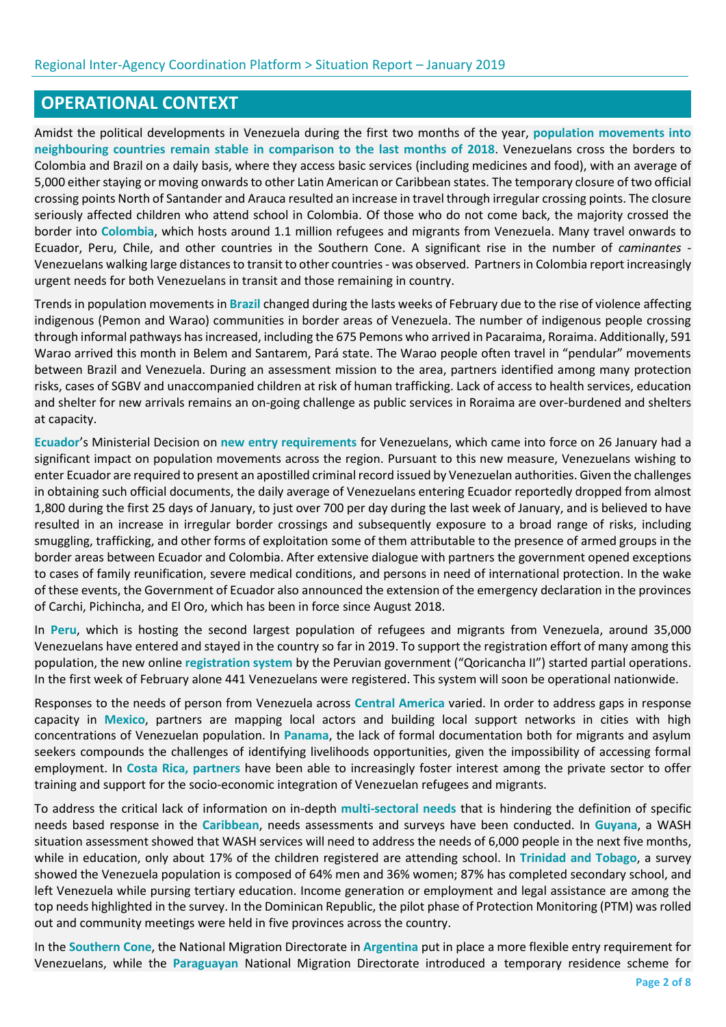# **OPERATIONAL CONTEXT**

Amidst the political developments in Venezuela during the first two months of the year, **population movements into neighbouring countries remain stable in comparison to the last months of 2018**. Venezuelans cross the borders to Colombia and Brazil on a daily basis, where they access basic services (including medicines and food), with an average of 5,000 either staying or moving onwards to other Latin American or Caribbean states. The temporary closure of two official crossing points North of Santander and Arauca resulted an increase in travel through irregular crossing points. The closure seriously affected children who attend school in Colombia. Of those who do not come back, the majority crossed the border into **Colombia**, which hosts around 1.1 million refugees and migrants from Venezuela. Many travel onwards to Ecuador, Peru, Chile, and other countries in the Southern Cone. A significant rise in the number of *caminantes -* Venezuelans walking large distances to transit to other countries- was observed. Partners in Colombia report increasingly urgent needs for both Venezuelans in transit and those remaining in country.

Trends in population movements in **Brazil** changed during the lasts weeks of February due to the rise of violence affecting indigenous (Pemon and Warao) communities in border areas of Venezuela. The number of indigenous people crossing through informal pathways has increased, including the 675 Pemons who arrived in Pacaraima, Roraima. Additionally, 591 Warao arrived this month in Belem and Santarem, Pará state. The Warao people often travel in "pendular" movements between Brazil and Venezuela. During an assessment mission to the area, partners identified among many protection risks, cases of SGBV and unaccompanied children at risk of human trafficking. Lack of access to health services, education and shelter for new arrivals remains an on-going challenge as public services in Roraima are over-burdened and shelters at capacity.

**Ecuador**'s Ministerial Decision on **new entry requirements** for Venezuelans, which came into force on 26 January had a significant impact on population movements across the region. Pursuant to this new measure, Venezuelans wishing to enter Ecuador are required to present an apostilled criminal record issued by Venezuelan authorities. Given the challenges in obtaining such official documents, the daily average of Venezuelans entering Ecuador reportedly dropped from almost 1,800 during the first 25 days of January, to just over 700 per day during the last week of January, and is believed to have resulted in an increase in irregular border crossings and subsequently exposure to a broad range of risks, including smuggling, trafficking, and other forms of exploitation some of them attributable to the presence of armed groups in the border areas between Ecuador and Colombia. After extensive dialogue with partners the government opened exceptions to cases of family reunification, severe medical conditions, and persons in need of international protection. In the wake of these events, the Government of Ecuador also announced the extension of the emergency declaration in the provinces of Carchi, Pichincha, and El Oro, which has been in force since August 2018.

In **Peru**, which is hosting the second largest population of refugees and migrants from Venezuela, around 35,000 Venezuelans have entered and stayed in the country so far in 2019. To support the registration effort of many among this population, the new online **registration system** by the Peruvian government ("Qoricancha II") started partial operations. In the first week of February alone 441 Venezuelans were registered. This system will soon be operational nationwide.

Responses to the needs of person from Venezuela across **Central America** varied. In order to address gaps in response capacity in **Mexico**, partners are mapping local actors and building local support networks in cities with high concentrations of Venezuelan population. In **Panama**, the lack of formal documentation both for migrants and asylum seekers compounds the challenges of identifying livelihoods opportunities, given the impossibility of accessing formal employment. In **Costa Rica, partners** have been able to increasingly foster interest among the private sector to offer training and support for the socio-economic integration of Venezuelan refugees and migrants.

To address the critical lack of information on in-depth **multi-sectoral needs** that is hindering the definition of specific needs based response in the **Caribbean**, needs assessments and surveys have been conducted. In **Guyana**, a WASH situation assessment showed that WASH services will need to address the needs of 6,000 people in the next five months, while in education, only about 17% of the children registered are attending school. In **Trinidad and Tobago**, a survey showed the Venezuela population is composed of 64% men and 36% women; 87% has completed secondary school, and left Venezuela while pursing tertiary education. Income generation or employment and legal assistance are among the top needs highlighted in the survey. In the Dominican Republic, the pilot phase of Protection Monitoring (PTM) was rolled out and community meetings were held in five provinces across the country.

In the **Southern Cone**, the National Migration Directorate in **Argentina** put in place a more flexible entry requirement for Venezuelans, while the **Paraguayan** National Migration Directorate introduced a temporary residence scheme for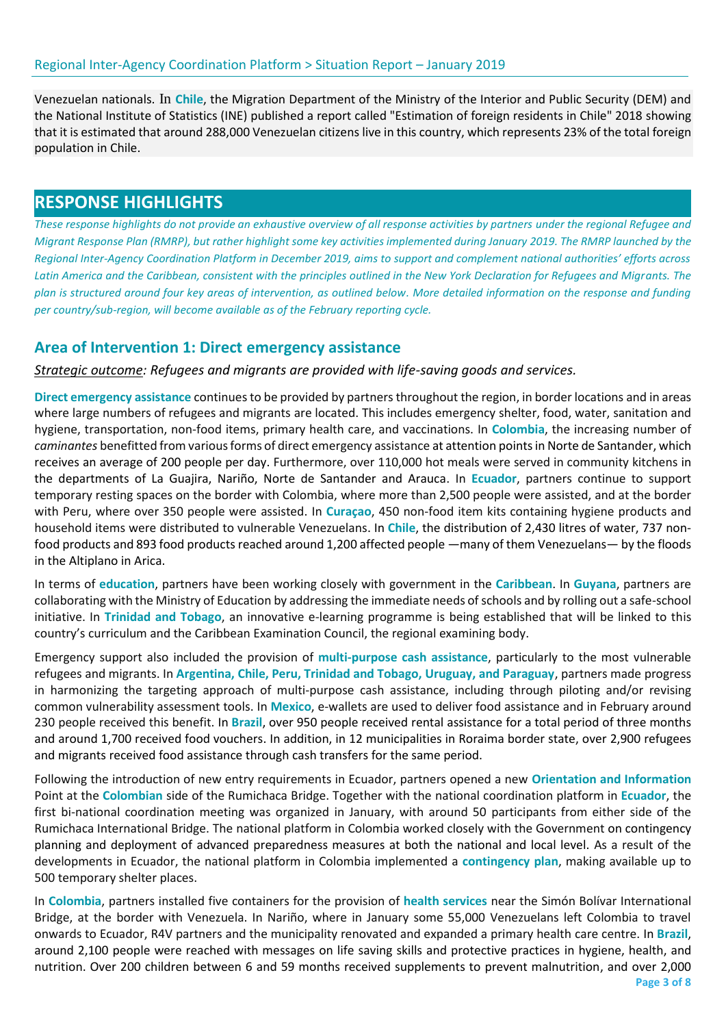Venezuelan nationals. In **Chile**, the Migration Department of the Ministry of the Interior and Public Security (DEM) and the National Institute of Statistics (INE) published a report called "Estimation of foreign residents in Chile" 2018 showing that it is estimated that around 288,000 Venezuelan citizens live in this country, which represents 23% of the total foreign population in Chile.

# **RESPONSE HIGHLIGHTS**

*These response highlights do not provide an exhaustive overview of all response activities by partners under the regional Refugee and Migrant Response Plan (RMRP), but rather highlight some key activities implemented during January 2019. The RMRP launched by the Regional Inter-Agency Coordination Platform in December 2019, aims to support and complement national authorities' efforts across Latin America and the Caribbean, consistent with the principles outlined in the New York Declaration for Refugees and Migrants. The plan is structured around four key areas of intervention, as outlined below. More detailed information on the response and funding per country/sub-region, will become available as of the February reporting cycle.*

## **Area of Intervention 1: Direct emergency assistance**

*Strategic outcome: Refugees and migrants are provided with life-saving goods and services.*

**Direct emergency assistance** continuesto be provided by partners throughout the region, in border locations and in areas where large numbers of refugees and migrants are located. This includes emergency shelter, food, water, sanitation and hygiene, transportation, non-food items, primary health care, and vaccinations. In **Colombia**, the increasing number of *caminantes* benefitted from various forms of direct emergency assistance at attention points in Norte de Santander, which receives an average of 200 people per day. Furthermore, over 110,000 hot meals were served in community kitchens in the departments of La Guajira, Nariño, Norte de Santander and Arauca. In **Ecuador**, partners continue to support temporary resting spaces on the border with Colombia, where more than 2,500 people were assisted, and at the border with Peru, where over 350 people were assisted. In **Curaçao**, 450 non-food item kits containing hygiene products and household items were distributed to vulnerable Venezuelans. In **Chile**, the distribution of 2,430 litres of water, 737 nonfood products and 893 food products reached around 1,200 affected people —many of them Venezuelans— by the floods in the Altiplano in Arica.

In terms of **education**, partners have been working closely with government in the **Caribbean**. In **Guyana**, partners are collaborating with the Ministry of Education by addressing the immediate needs of schools and by rolling out a safe-school initiative. In **Trinidad and Tobago**, an innovative e-learning programme is being established that will be linked to this country's curriculum and the Caribbean Examination Council, the regional examining body.

Emergency support also included the provision of **multi-purpose cash assistance**, particularly to the most vulnerable refugees and migrants. In **Argentina, Chile, Peru, Trinidad and Tobago, Uruguay, and Paraguay**, partners made progress in harmonizing the targeting approach of multi-purpose cash assistance, including through piloting and/or revising common vulnerability assessment tools. In **Mexico**, e-wallets are used to deliver food assistance and in February around 230 people received this benefit. In **Brazil**, over 950 people received rental assistance for a total period of three months and around 1,700 received food vouchers. In addition, in 12 municipalities in Roraima border state, over 2,900 refugees and migrants received food assistance through cash transfers for the same period.

Following the introduction of new entry requirements in Ecuador, partners opened a new **Orientation and Information** Point at the **Colombian** side of the Rumichaca Bridge. Together with the national coordination platform in **Ecuador**, the first bi-national coordination meeting was organized in January, with around 50 participants from either side of the Rumichaca International Bridge. The national platform in Colombia worked closely with the Government on contingency planning and deployment of advanced preparedness measures at both the national and local level. As a result of the developments in Ecuador, the national platform in Colombia implemented a **contingency plan**, making available up to 500 temporary shelter places.

In **Colombia**, partners installed five containers for the provision of **health services** near the Simón Bolívar International Bridge, at the border with Venezuela. In Nariño, where in January some 55,000 Venezuelans left Colombia to travel onwards to Ecuador, R4V partners and the municipality renovated and expanded a primary health care centre. In **Brazil**, around 2,100 people were reached with messages on life saving skills and protective practices in hygiene, health, and nutrition. Over 200 children between 6 and 59 months received supplements to prevent malnutrition, and over 2,000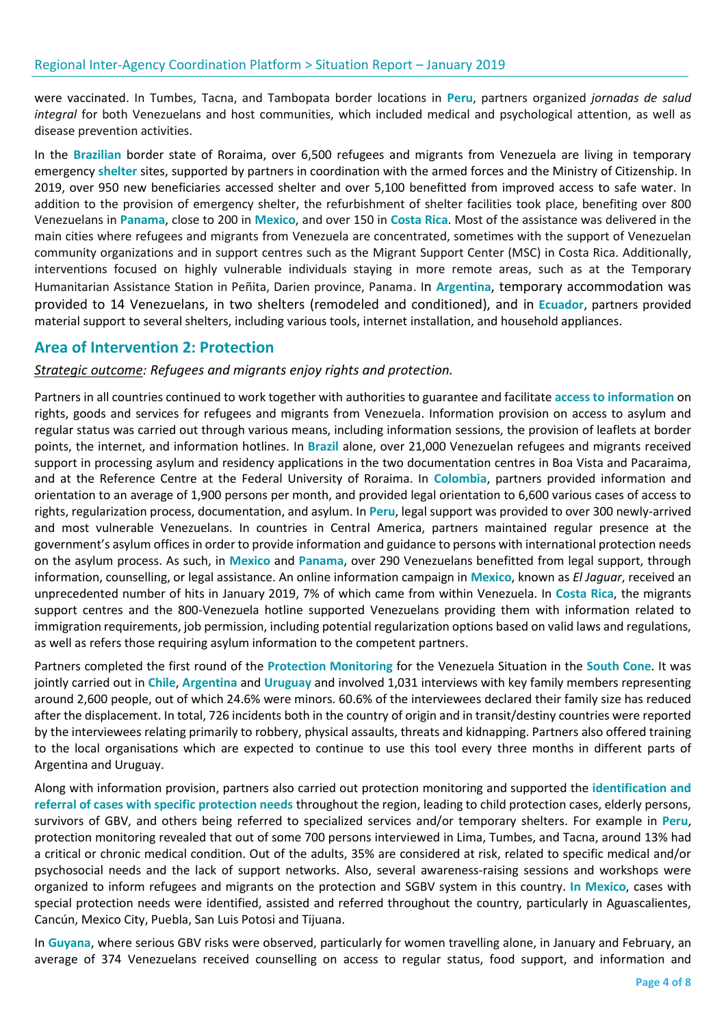were vaccinated. In Tumbes, Tacna, and Tambopata border locations in **Peru**, partners organized *jornadas de salud integral* for both Venezuelans and host communities, which included medical and psychological attention, as well as disease prevention activities.

In the **Brazilian** border state of Roraima, over 6,500 refugees and migrants from Venezuela are living in temporary emergency **shelter** sites, supported by partners in coordination with the armed forces and the Ministry of Citizenship. In 2019, over 950 new beneficiaries accessed shelter and over 5,100 benefitted from improved access to safe water. In addition to the provision of emergency shelter, the refurbishment of shelter facilities took place, benefiting over 800 Venezuelans in **Panama**, close to 200 in **Mexico**, and over 150 in **Costa Rica**. Most of the assistance was delivered in the main cities where refugees and migrants from Venezuela are concentrated, sometimes with the support of Venezuelan community organizations and in support centres such as the Migrant Support Center (MSC) in Costa Rica. Additionally, interventions focused on highly vulnerable individuals staying in more remote areas, such as at the Temporary Humanitarian Assistance Station in Peñita, Darien province, Panama. In **Argentina**, temporary accommodation was provided to 14 Venezuelans, in two shelters (remodeled and conditioned), and in **Ecuador**, partners provided material support to several shelters, including various tools, internet installation, and household appliances.

## **Area of Intervention 2: Protection**

#### *Strategic outcome: Refugees and migrants enjoy rights and protection.*

Partners in all countries continued to work together with authorities to guarantee and facilitate **access to information** on rights, goods and services for refugees and migrants from Venezuela. Information provision on access to asylum and regular status was carried out through various means, including information sessions, the provision of leaflets at border points, the internet, and information hotlines. In **Brazil** alone, over 21,000 Venezuelan refugees and migrants received support in processing asylum and residency applications in the two documentation centres in Boa Vista and Pacaraima, and at the Reference Centre at the Federal University of Roraima. In **Colombia**, partners provided information and orientation to an average of 1,900 persons per month, and provided legal orientation to 6,600 various cases of access to rights, regularization process, documentation, and asylum. In **Peru**, legal support was provided to over 300 newly-arrived and most vulnerable Venezuelans. In countries in Central America, partners maintained regular presence at the government's asylum offices in order to provide information and guidance to persons with international protection needs on the asylum process. As such, in **Mexico** and **Panama**, over 290 Venezuelans benefitted from legal support, through information, counselling, or legal assistance. An online information campaign in **Mexico**, known as *El Jaguar*, received an unprecedented number of hits in January 2019, 7% of which came from within Venezuela. In **Costa Rica**, the migrants support centres and the 800-Venezuela hotline supported Venezuelans providing them with information related to immigration requirements, job permission, including potential regularization options based on valid laws and regulations, as well as refers those requiring asylum information to the competent partners.

Partners completed the first round of the **Protection Monitoring** for the Venezuela Situation in the **South Cone**. It was jointly carried out in **Chile**, **Argentina** and **Uruguay** and involved 1,031 interviews with key family members representing around 2,600 people, out of which 24.6% were minors. 60.6% of the interviewees declared their family size has reduced after the displacement. In total, 726 incidents both in the country of origin and in transit/destiny countries were reported by the interviewees relating primarily to robbery, physical assaults, threats and kidnapping. Partners also offered training to the local organisations which are expected to continue to use this tool every three months in different parts of Argentina and Uruguay.

Along with information provision, partners also carried out protection monitoring and supported the **identification and referral of cases with specific protection needs** throughout the region, leading to child protection cases, elderly persons, survivors of GBV, and others being referred to specialized services and/or temporary shelters. For example in **Peru**, protection monitoring revealed that out of some 700 persons interviewed in Lima, Tumbes, and Tacna, around 13% had a critical or chronic medical condition. Out of the adults, 35% are considered at risk, related to specific medical and/or psychosocial needs and the lack of support networks. Also, several awareness-raising sessions and workshops were organized to inform refugees and migrants on the protection and SGBV system in this country. **In Mexico**, cases with special protection needs were identified, assisted and referred throughout the country, particularly in Aguascalientes, Cancún, Mexico City, Puebla, San Luis Potosi and Tijuana.

In **Guyana**, where serious GBV risks were observed, particularly for women travelling alone, in January and February, an average of 374 Venezuelans received counselling on access to regular status, food support, and information and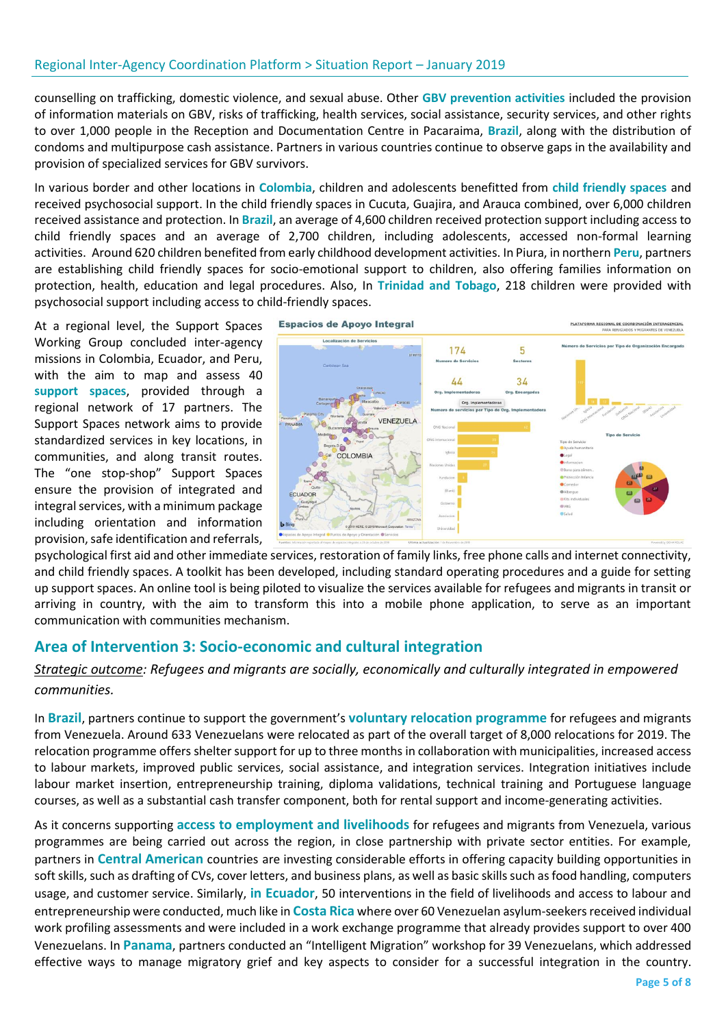counselling on trafficking, domestic violence, and sexual abuse. Other **GBV prevention activities** included the provision of information materials on GBV, risks of trafficking, health services, social assistance, security services, and other rights to over 1,000 people in the Reception and Documentation Centre in Pacaraima, **Brazil**, along with the distribution of condoms and multipurpose cash assistance. Partners in various countries continue to observe gaps in the availability and provision of specialized services for GBV survivors.

In various border and other locations in **Colombia**, children and adolescents benefitted from **child friendly spaces** and received psychosocial support. In the child friendly spaces in Cucuta, Guajira, and Arauca combined, over 6,000 children received assistance and protection. In **Brazil**, an average of 4,600 children received protection support including access to child friendly spaces and an average of 2,700 children, including adolescents, accessed non-formal learning activities. Around 620 children benefited from early childhood development activities. In Piura, in northern **Peru**, partners are establishing child friendly spaces for socio-emotional support to children, also offering families information on protection, health, education and legal procedures. Also, In **Trinidad and Tobago**, 218 children were provided with psychosocial support including access to child-friendly spaces.

At a regional level, the Support Spaces Working Group concluded inter-agency missions in Colombia, Ecuador, and Peru, with the aim to map and assess 40 **support spaces**, provided through a regional network of 17 partners. The Support Spaces network aims to provide standardized services in key locations, in communities, and along transit routes. The "one stop-shop" Support Spaces ensure the provision of integrated and integral services, with a minimum package including orientation and information provision, safe identification and referrals,



psychological first aid and other immediate services, restoration of family links, free phone calls and internet connectivity, and child friendly spaces. A toolkit has been developed, including standard operating procedures and a guide for setting up support spaces. An online tool is being piloted to visualize the services available for refugees and migrants in transit or arriving in country, with the aim to transform this into a mobile phone application, to serve as an important communication with communities mechanism.

## **Area of Intervention 3: Socio-economic and cultural integration**

#### *Strategic outcome: Refugees and migrants are socially, economically and culturally integrated in empowered communities.*

In **Brazil**, partners continue to support the government's **voluntary relocation programme** for refugees and migrants from Venezuela. Around 633 Venezuelans were relocated as part of the overall target of 8,000 relocations for 2019. The relocation programme offers shelter support for up to three months in collaboration with municipalities, increased access to labour markets, improved public services, social assistance, and integration services. Integration initiatives include labour market insertion, entrepreneurship training, diploma validations, technical training and Portuguese language courses, as well as a substantial cash transfer component, both for rental support and income-generating activities.

As it concerns supporting **access to employment and livelihoods** for refugees and migrants from Venezuela, various programmes are being carried out across the region, in close partnership with private sector entities. For example, partners in **Central American** countries are investing considerable efforts in offering capacity building opportunities in soft skills, such as drafting of CVs, cover letters, and business plans, as well as basic skills such as food handling, computers usage, and customer service. Similarly, **in Ecuador**, 50 interventions in the field of livelihoods and access to labour and entrepreneurship were conducted, much like in **Costa Rica** where over 60 Venezuelan asylum-seekers received individual work profiling assessments and were included in a work exchange programme that already provides support to over 400 Venezuelans. In **Panama**, partners conducted an "Intelligent Migration" workshop for 39 Venezuelans, which addressed effective ways to manage migratory grief and key aspects to consider for a successful integration in the country.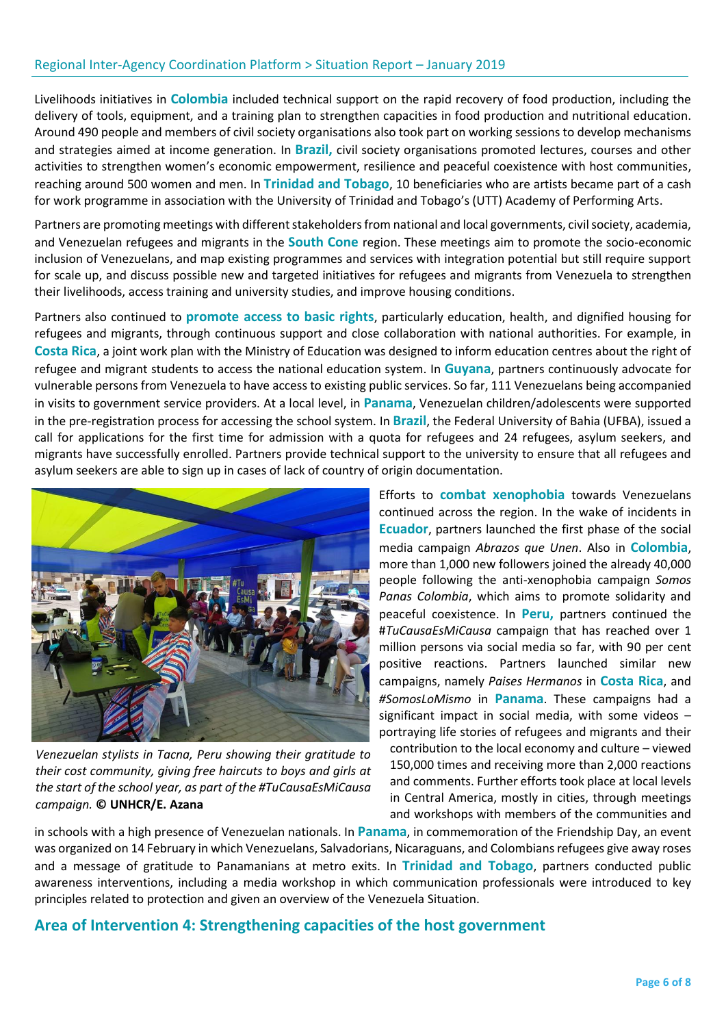Livelihoods initiatives in **Colombia** included technical support on the rapid recovery of food production, including the delivery of tools, equipment, and a training plan to strengthen capacities in food production and nutritional education. Around 490 people and members of civil society organisations also took part on working sessions to develop mechanisms and strategies aimed at income generation. In **Brazil,** civil society organisations promoted lectures, courses and other activities to strengthen women's economic empowerment, resilience and peaceful coexistence with host communities, reaching around 500 women and men. In **Trinidad and Tobago**, 10 beneficiaries who are artists became part of a cash for work programme in association with the University of Trinidad and Tobago's (UTT) Academy of Performing Arts.

Partners are promoting meetings with different stakeholders from national and local governments, civil society, academia, and Venezuelan refugees and migrants in the **South Cone** region. These meetings aim to promote the socio-economic inclusion of Venezuelans, and map existing programmes and services with integration potential but still require support for scale up, and discuss possible new and targeted initiatives for refugees and migrants from Venezuela to strengthen their livelihoods, access training and university studies, and improve housing conditions.

Partners also continued to **promote access to basic rights**, particularly education, health, and dignified housing for refugees and migrants, through continuous support and close collaboration with national authorities. For example, in **Costa Rica**, a joint work plan with the Ministry of Education was designed to inform education centres about the right of refugee and migrant students to access the national education system. In **Guyana**, partners continuously advocate for vulnerable persons from Venezuela to have access to existing public services. So far, 111 Venezuelans being accompanied in visits to government service providers. At a local level, in **Panama**, Venezuelan children/adolescents were supported in the pre-registration process for accessing the school system. In **Brazil**, the Federal University of Bahia (UFBA), issued a call for applications for the first time for admission with a quota for refugees and 24 refugees, asylum seekers, and migrants have successfully enrolled. Partners provide technical support to the university to ensure that all refugees and asylum seekers are able to sign up in cases of lack of country of origin documentation.



*Venezuelan stylists in Tacna, Peru showing their gratitude to their cost community, giving free haircuts to boys and girls at the start of the school year, as part of the #TuCausaEsMiCausa campaign.* **© UNHCR/E. Azana**

Efforts to **combat xenophobia** towards Venezuelans continued across the region. In the wake of incidents in **Ecuador**, partners launched the first phase of the social media campaign *Abrazos que Unen*. Also in **Colombia**, more than 1,000 new followers joined the already 40,000 people following the anti-xenophobia campaign *Somos Panas Colombia*, which aims to promote solidarity and peaceful coexistence. In **Peru,** partners continued the #*TuCausaEsMiCausa* campaign that has reached over 1 million persons via social media so far, with 90 per cent positive reactions. Partners launched similar new campaigns, namely *Paises Hermanos* in **Costa Rica**, and *[#SomosLoMismo](https://www.acnur.org/noticias/videos/2018/12/5c0ad75e4/todos-somoslomismo.html)* in **Panama**. These campaigns had a significant impact in social media, with some videos – portraying life stories of refugees and migrants and their

contribution to the local economy and culture – viewed 150,000 times and receiving more than 2,000 reactions and comments. Further efforts took place at local levels in Central America, mostly in cities, through meetings and workshops with members of the communities and

in schools with a high presence of Venezuelan nationals. In **Panama**, in commemoration of the Friendship Day, an event was organized on 14 February in which Venezuelans, Salvadorians, Nicaraguans, and Colombians refugees give away roses and a message of gratitude to Panamanians at metro exits. In **Trinidad and Tobago**, partners conducted public awareness interventions, including a media workshop in which communication professionals were introduced to key principles related to protection and given an overview of the Venezuela Situation.

#### **Area of Intervention 4: Strengthening capacities of the host government**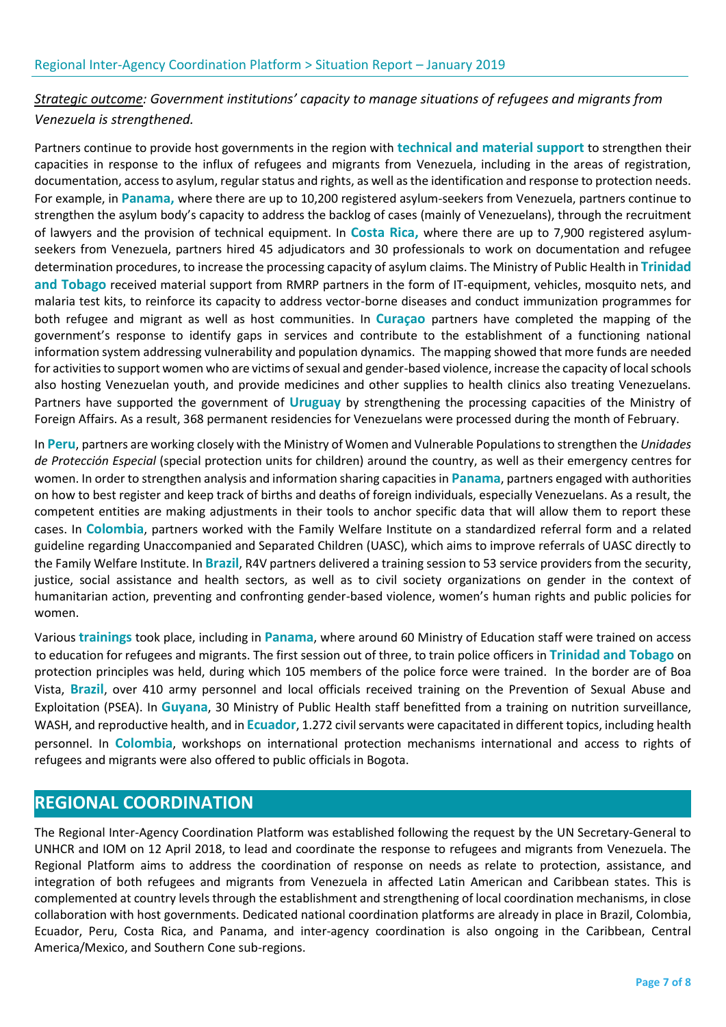## *Strategic outcome: Government institutions' capacity to manage situations of refugees and migrants from Venezuela is strengthened.*

Partners continue to provide host governments in the region with **technical and material support** to strengthen their capacities in response to the influx of refugees and migrants from Venezuela, including in the areas of registration, documentation, access to asylum, regular status and rights, as well as the identification and response to protection needs. For example, in **Panama,** where there are up to 10,200 registered asylum-seekers from Venezuela, partners continue to strengthen the asylum body's capacity to address the backlog of cases (mainly of Venezuelans), through the recruitment of lawyers and the provision of technical equipment. In **Costa Rica,** where there are up to 7,900 registered asylumseekers from Venezuela, partners hired 45 adjudicators and 30 professionals to work on documentation and refugee determination procedures, to increase the processing capacity of asylum claims. The Ministry of Public Health in **Trinidad and Tobago** received material support from RMRP partners in the form of IT-equipment, vehicles, mosquito nets, and malaria test kits, to reinforce its capacity to address vector-borne diseases and conduct immunization programmes for both refugee and migrant as well as host communities. In **Curaçao** partners have completed the mapping of the government's response to identify gaps in services and contribute to the establishment of a functioning national information system addressing vulnerability and population dynamics. The mapping showed that more funds are needed for activities to support women who are victims of sexual and gender-based violence, increase the capacity of local schools also hosting Venezuelan youth, and provide medicines and other supplies to health clinics also treating Venezuelans. Partners have supported the government of **Uruguay** by strengthening the processing capacities of the Ministry of Foreign Affairs. As a result, 368 permanent residencies for Venezuelans were processed during the month of February.

In **Peru**, partners are working closely with the Ministry of Women and Vulnerable Populations to strengthen the *Unidades de Protección Especial* (special protection units for children) around the country, as well as their emergency centres for women. In order to strengthen analysis and information sharing capacities in **Panama**, partners engaged with authorities on how to best register and keep track of births and deaths of foreign individuals, especially Venezuelans. As a result, the competent entities are making adjustments in their tools to anchor specific data that will allow them to report these cases. In **Colombia**, partners worked with the Family Welfare Institute on a standardized referral form and a related guideline regarding Unaccompanied and Separated Children (UASC), which aims to improve referrals of UASC directly to the Family Welfare Institute. In **Brazil**, R4V partners delivered a training session to 53 service providers from the security, justice, social assistance and health sectors, as well as to civil society organizations on gender in the context of humanitarian action, preventing and confronting gender-based violence, women's human rights and public policies for women.

Various **trainings** took place, including in **Panama**, where around 60 Ministry of Education staff were trained on access to education for refugees and migrants. The first session out of three, to train police officers in **Trinidad and Tobago** on protection principles was held, during which 105 members of the police force were trained. In the border are of Boa Vista, **Brazil**, over 410 army personnel and local officials received training on the Prevention of Sexual Abuse and Exploitation (PSEA). In **Guyana**, 30 Ministry of Public Health staff benefitted from a training on nutrition surveillance, WASH, and reproductive health, and in **Ecuador**, 1.272 civil servants were capacitated in different topics, including health personnel. In **Colombia**, workshops on international protection mechanisms international and access to rights of refugees and migrants were also offered to public officials in Bogota.

# **REGIONAL COORDINATION**

The Regional Inter-Agency Coordination Platform was established following the request by the UN Secretary-General to UNHCR and IOM on 12 April 2018, to lead and coordinate the response to refugees and migrants from Venezuela. The Regional Platform aims to address the coordination of response on needs as relate to protection, assistance, and integration of both refugees and migrants from Venezuela in affected Latin American and Caribbean states. This is complemented at country levels through the establishment and strengthening of local coordination mechanisms, in close collaboration with host governments. Dedicated national coordination platforms are already in place in Brazil, Colombia, Ecuador, Peru, Costa Rica, and Panama, and inter-agency coordination is also ongoing in the Caribbean, Central America/Mexico, and Southern Cone sub-regions.